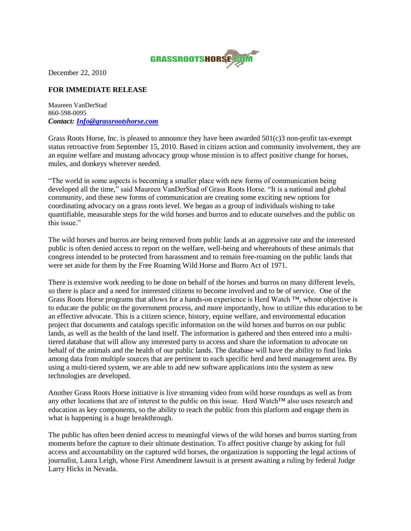

December 22, 2010

## **FOR IMMEDIATE RELEASE**

Maureen VanDerStad 860-598-0095 *Contact: [Info@grassrootshorse.com](mailto:Info@grassrootshorse.com)*

Grass Roots Horse, Inc. is pleased to announce they have been awarded 501(c)3 non-profit tax-exempt status retroactive from September 15, 2010. Based in citizen action and community involvement, they are an equine welfare and mustang advocacy group whose mission is to affect positive change for horses, mules, and donkeys wherever needed.

"The world in some aspects is becoming a smaller place with new forms of communication being developed all the time," said Maureen VanDerStad of Grass Roots Horse. "It is a national and global community, and these new forms of communication are creating some exciting new options for coordinating advocacy on a grass roots level. We began as a group of individuals wishing to take quantifiable, measurable steps for the wild horses and burros and to educate ourselves and the public on this issue."

The wild horses and burros are being removed from public lands at an aggressive rate and the interested public is often denied access to report on the welfare, well-being and whereabouts of these animals that congress intended to be protected from harassment and to remain free**-**roaming on the public lands that were set aside for them by the Free Roaming Wild Horse and Burro Act of 1971.

There is extensive work needing to be done on behalf of the horses and burros on many different levels, so there is place and a need for interested citizens to become involved and to be of service. One of the Grass Roots Horse programs that allows for a hands**-**on experience is Herd Watch ™, whose objective is to educate the public on the government process, and more importantly, how to utilize this education to be an effective advocate. This is a citizen science, history, equine welfare, and environmental education project that documents and catalogs specific information on the wild horses and burros on our public lands, as well as the health of the land itself. The information is gathered and then entered into a multitiered database that will allow any interested party to access and share the information to advocate on behalf of the animals and the health of our public lands. The database will have the ability to find links among data from multiple sources that are pertinent to each specific herd and herd management area. By using a multi-tiered system, we are able to add new software applications into the system as new technologies are developed.

Another Grass Roots Horse initiative is live streaming video from wild horse roundups as well as from any other locations that are of interest to the public on this issue. Herd Watch™ also uses research and education as key components, so the ability to reach the public from this platform and engage them in what is happening is a huge breakthrough.

The public has often been denied access to meaningful views of the wild horses and burros starting from moments before the capture to their ultimate destination. To affect positive change by asking for full access and accountability on the captured wild horses, the organization is supporting the legal actions of journalist, Laura Leigh, whose First Amendment lawsuit is at present awaiting a ruling by federal Judge Larry Hicks in Nevada.